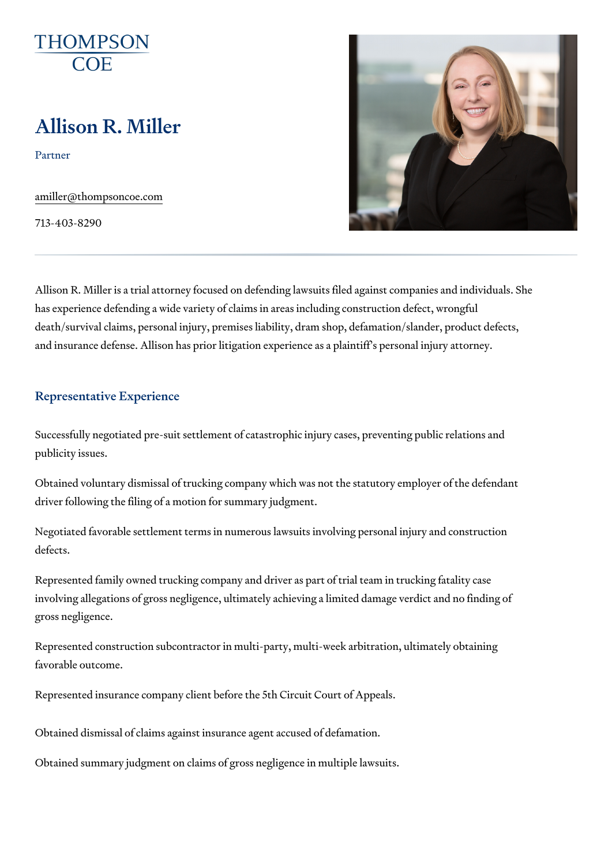# Allison R. Miller

Partner

[amiller@thompso](mailto:amiller@thompsoncoe.com)ncoe.com

713-403-8290

Allison R. Miller is a trial attorney focused on defending lawsuits filed against companies and individuals. S has experience defending a wide variety of claims in areas including const death/survival claims, personal injury, premises liability, dram shop, defar and insurance defense. Allison has prior litigation experience as a plaintif

## Representative Experience

Successfully negotiated pre-suit settlement of catastrophic injury cases, p publicity issues.

Obtained voluntary dismissal of trucking company which was not the statut driver following the filing of a motion for summary judgment.

Negotiated favorable settlement terms in numerous lawsuits involving pers defects.

Represented family owned trucking company and driver as part of trial team involving allegations of gross negligence, ultimately achieving a limited da gross negligence.

Represented construction subcontractor in multi-party, multi-week arbitrat favorable outcome.

Represented insurance company client before the 5th Circuit Court of Appe

Obtained dismissal of claims against insurance agent accused of defamation. Obtained summary judgment on claims of gross negligence in multiple laws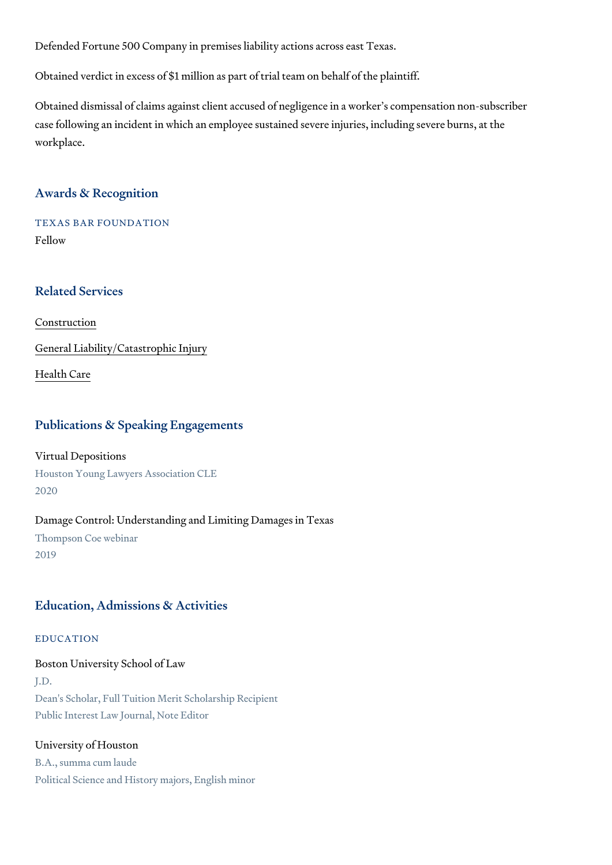Defended Fortune 500 Company in premises liability actions across east To

Obtained verdict in excess of \$1 million as part of trial team on behalf of

Obtained dismissal of claims against client accused of negligence in a wor case following an incident in which an employee sustained severe injuries, workplace.

# Awards & Recognition

TEXAS BAR FOUNDATION Fellow

#### Related Services

[Constru](https://www.thompsoncoe.com/people/allison-r-miller/)ction

[General Liability/Catas](https://www.thompsoncoe.com/people/allison-r-miller/)trophic Injury

[Health](https://www.thompsoncoe.com/people/allison-r-miller/) Care

# Publications & Speaking Engagements

Virtual Depositions Houston Young Lawyers Association CLE 2020

Damage Control: Understanding and Limiting Damages in Texas Thompson Coe webinar 2019

# Education, Admissions & Activities

#### EDUCATION

Boston University School of Law J.D. Dean's Scholar, Full Tuition Merit Scholarship Recipient Public Interest Law Journal, Note Editor

#### University of Houston

B.A., summa cum laude Political Science and History majors, English minor